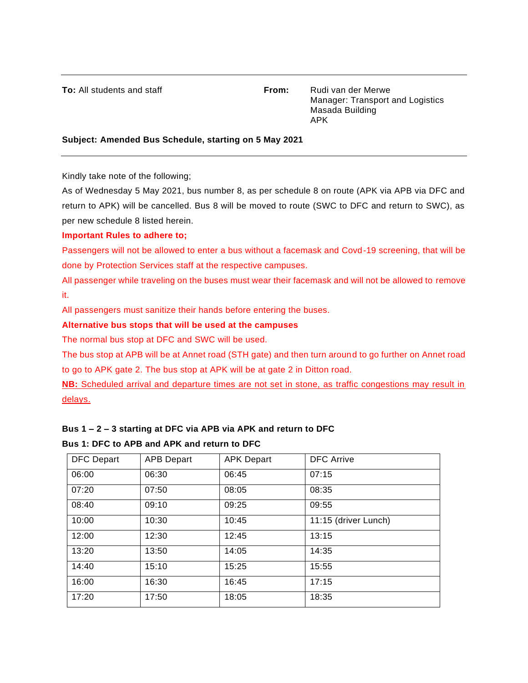**To:** All students and staff **From:** Rudi van der Merwe Manager: Transport and Logistics Masada Building APK

#### **Subject: Amended Bus Schedule, starting on 5 May 2021**

Kindly take note of the following;

As of Wednesday 5 May 2021, bus number 8, as per schedule 8 on route (APK via APB via DFC and return to APK) will be cancelled. Bus 8 will be moved to route (SWC to DFC and return to SWC), as per new schedule 8 listed herein.

## **Important Rules to adhere to;**

Passengers will not be allowed to enter a bus without a facemask and Covd-19 screening, that will be done by Protection Services staff at the respective campuses.

All passenger while traveling on the buses must wear their facemask and will not be allowed to remove it.

All passengers must sanitize their hands before entering the buses.

## **Alternative bus stops that will be used at the campuses**

The normal bus stop at DFC and SWC will be used.

The bus stop at APB will be at Annet road (STH gate) and then turn around to go further on Annet road to go to APK gate 2. The bus stop at APK will be at gate 2 in Ditton road.

**NB:** Scheduled arrival and departure times are not set in stone, as traffic congestions may result in delays.

# **Bus 1 – 2 – 3 starting at DFC via APB via APK and return to DFC**

## **Bus 1: DFC to APB and APK and return to DFC**

| <b>DFC Depart</b> | <b>APB Depart</b> | <b>APK Depart</b> | <b>DFC</b> Arrive    |
|-------------------|-------------------|-------------------|----------------------|
| 06:00             | 06:30             | 06:45             | 07:15                |
| 07:20             | 07:50             | 08:05             | 08:35                |
| 08:40             | 09:10             | 09:25             | 09:55                |
| 10:00             | 10:30             | 10:45             | 11:15 (driver Lunch) |
| 12:00             | 12:30             | 12:45             | 13:15                |
| 13:20             | 13:50             | 14:05             | 14:35                |
| 14:40             | 15:10             | 15:25             | 15:55                |
| 16:00             | 16:30             | 16:45             | 17:15                |
| 17:20             | 17:50             | 18:05             | 18:35                |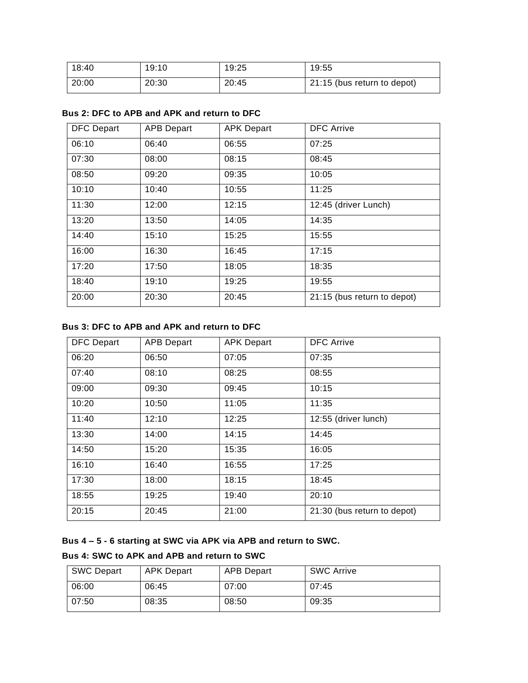| 18:40 | 19:10 | 19:25 | 19:55                       |
|-------|-------|-------|-----------------------------|
| 20:00 | 20:30 | 20:45 | 21:15 (bus return to depot) |

| <b>DFC Depart</b> | <b>APB Depart</b> | <b>APK Depart</b> | <b>DFC Arrive</b>           |
|-------------------|-------------------|-------------------|-----------------------------|
| 06:10             | 06:40             | 06:55             | 07:25                       |
| 07:30             | 08:00             | 08:15             | 08:45                       |
| 08:50             | 09:20             | 09:35             | 10:05                       |
| 10:10             | 10:40             | 10:55             | 11:25                       |
| 11:30             | 12:00             | 12:15             | 12:45 (driver Lunch)        |
| 13:20             | 13:50             | 14:05             | 14:35                       |
| 14:40             | 15:10             | 15:25             | 15:55                       |
| 16:00             | 16:30             | 16:45             | 17:15                       |
| 17:20             | 17:50             | 18:05             | 18:35                       |
| 18:40             | 19:10             | 19:25             | 19:55                       |
| 20:00             | 20:30             | 20:45             | 21:15 (bus return to depot) |

## **Bus 2: DFC to APB and APK and return to DFC**

## **Bus 3: DFC to APB and APK and return to DFC**

| <b>DFC Depart</b> | <b>APB Depart</b> | <b>APK Depart</b> | <b>DFC Arrive</b>           |
|-------------------|-------------------|-------------------|-----------------------------|
| 06:20             | 06:50             | 07:05             | 07:35                       |
| 07:40             | 08:10             | 08:25             | 08:55                       |
| 09:00             | 09:30             | 09:45             | 10:15                       |
| 10:20             | 10:50             | 11:05             | 11:35                       |
| 11:40             | 12:10             | 12:25             | 12:55 (driver lunch)        |
| 13:30             | 14:00             | 14:15             | 14:45                       |
| 14:50             | 15:20             | 15:35             | 16:05                       |
| 16:10             | 16:40             | 16:55             | 17:25                       |
| 17:30             | 18:00             | 18:15             | 18:45                       |
| 18:55             | 19:25             | 19:40             | 20:10                       |
| 20:15             | 20:45             | 21:00             | 21:30 (bus return to depot) |

## **Bus 4 – 5 - 6 starting at SWC via APK via APB and return to SWC.**

## **Bus 4: SWC to APK and APB and return to SWC**

| <b>SWC Depart</b> | APK Depart | APB Depart | <b>SWC Arrive</b> |
|-------------------|------------|------------|-------------------|
| 06:00             | 06:45      | 07:00      | 07:45             |
| 07:50             | 08:35      | 08:50      | 09:35             |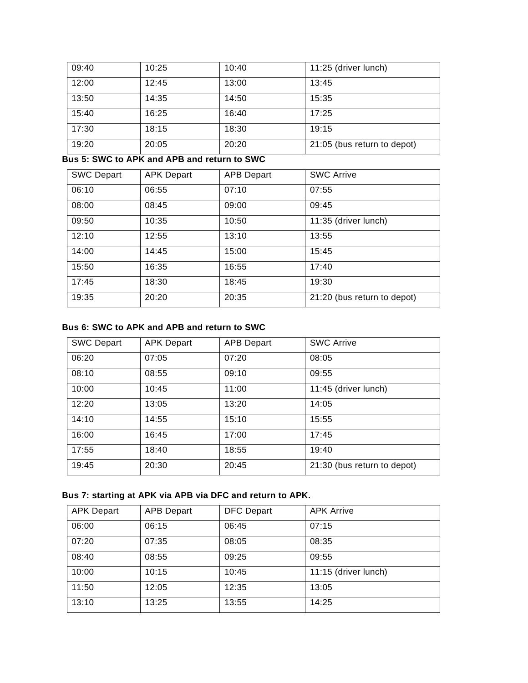| 09:40 | 10:25 | 10:40 | 11:25 (driver lunch)        |
|-------|-------|-------|-----------------------------|
| 12:00 | 12:45 | 13:00 | 13:45                       |
| 13:50 | 14:35 | 14:50 | 15:35                       |
| 15:40 | 16:25 | 16:40 | 17:25                       |
| 17:30 | 18:15 | 18:30 | 19:15                       |
| 19:20 | 20:05 | 20:20 | 21:05 (bus return to depot) |

**Bus 5: SWC to APK and APB and return to SWC**

| <b>SWC Depart</b> | <b>APK Depart</b> | <b>APB Depart</b> | <b>SWC Arrive</b>           |
|-------------------|-------------------|-------------------|-----------------------------|
| 06:10             | 06:55             | 07:10             | 07:55                       |
| 08:00             | 08:45             | 09:00             | 09:45                       |
| 09:50             | 10:35             | 10:50             | 11:35 (driver lunch)        |
| 12:10             | 12:55             | 13:10             | 13:55                       |
| 14:00             | 14:45             | 15:00             | 15:45                       |
| 15:50             | 16:35             | 16:55             | 17:40                       |
| 17:45             | 18:30             | 18:45             | 19:30                       |
| 19:35             | 20:20             | 20:35             | 21:20 (bus return to depot) |

## **Bus 6: SWC to APK and APB and return to SWC**

| <b>SWC Depart</b> | <b>APK Depart</b> | <b>APB Depart</b> | <b>SWC Arrive</b>           |
|-------------------|-------------------|-------------------|-----------------------------|
| 06:20             | 07:05             | 07:20             | 08:05                       |
| 08:10             | 08:55             | 09:10             | 09:55                       |
| 10:00             | 10:45             | 11:00             | 11:45 (driver lunch)        |
| 12:20             | 13:05             | 13:20             | 14:05                       |
| 14:10             | 14:55             | 15:10             | 15:55                       |
| 16:00             | 16:45             | 17:00             | 17:45                       |
| 17:55             | 18:40             | 18:55             | 19:40                       |
| 19:45             | 20:30             | 20:45             | 21:30 (bus return to depot) |

# **Bus 7: starting at APK via APB via DFC and return to APK.**

| <b>APK Depart</b> | <b>APB Depart</b> | <b>DFC Depart</b> | <b>APK Arrive</b>    |
|-------------------|-------------------|-------------------|----------------------|
| 06:00             | 06:15             | 06:45             | 07:15                |
| 07:20             | 07:35             | 08:05             | 08:35                |
| 08:40             | 08:55             | 09:25             | 09:55                |
| 10:00             | 10:15             | 10:45             | 11:15 (driver lunch) |
| 11:50             | 12:05             | 12:35             | 13:05                |
| 13:10             | 13:25             | 13:55             | 14:25                |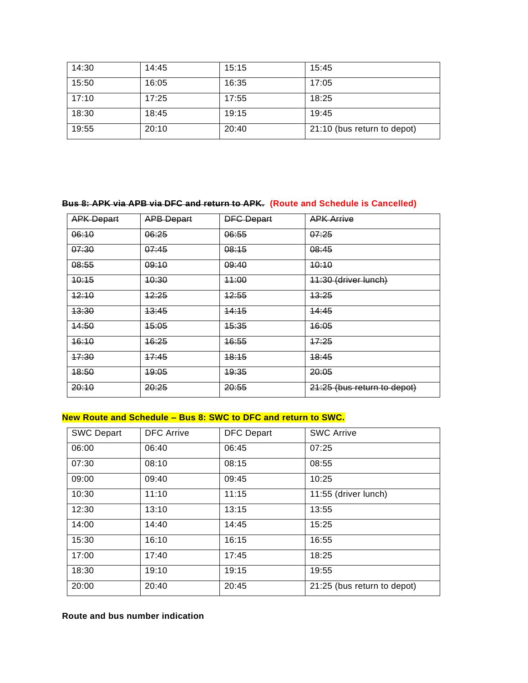| 14:30 | 14:45 | 15:15 | 15:45                       |
|-------|-------|-------|-----------------------------|
| 15:50 | 16:05 | 16:35 | 17:05                       |
| 17:10 | 17:25 | 17:55 | 18:25                       |
| 18:30 | 18:45 | 19:15 | 19:45                       |
| 19:55 | 20:10 | 20:40 | 21:10 (bus return to depot) |

## **Bus 8: APK via APB via DFC and return to APK. (Route and Schedule is Cancelled)**

| <b>APK Depart</b> | <b>APB Depart</b> | <b>DFC Depart</b> | <b>APK Arrive</b>           |
|-------------------|-------------------|-------------------|-----------------------------|
| 06:10             | 06:25             | 06:55             | 07:25                       |
| 07:30             | 07:45             | 08:15             | 08:45                       |
| 08:55             | 09:10             | 09:40             | 40:10                       |
| 40:15             | 40:30             | 44:00             | 11:30 (driver lunch)        |
| 42:10             | 12:25             | 42:55             | 43:25                       |
| <del>13:30</del>  | 13:45             | 14:15             | 44:45                       |
| <u> 14:50</u>     | 15:05             | 15:35             | 16:05                       |
| 16:10             | 46:25             | 16:55             | 17:25                       |
| 47:30             | 47:45             | 18:15             | 48:45                       |
| 48:50             | 49:05             | 19:35             | 20:05                       |
| 20:10             | 20:25             | 20:55             | 21:25 (bus return to depot) |

## **New Route and Schedule – Bus 8: SWC to DFC and return to SWC.**

| <b>SWC Depart</b> | <b>DFC</b> Arrive | <b>DFC Depart</b> | <b>SWC Arrive</b>           |
|-------------------|-------------------|-------------------|-----------------------------|
| 06:00             | 06:40             | 06:45             | 07:25                       |
| 07:30             | 08:10             | 08:15             | 08:55                       |
| 09:00             | 09:40             | 09:45             | 10:25                       |
| 10:30             | 11:10             | 11:15             | 11:55 (driver lunch)        |
| 12:30             | 13:10             | 13:15             | 13:55                       |
| 14:00             | 14:40             | 14:45             | 15:25                       |
| 15:30             | 16:10             | 16:15             | 16:55                       |
| 17:00             | 17:40             | 17:45             | 18:25                       |
| 18:30             | 19:10             | 19:15             | 19:55                       |
| 20:00             | 20:40             | 20:45             | 21:25 (bus return to depot) |

## **Route and bus number indication**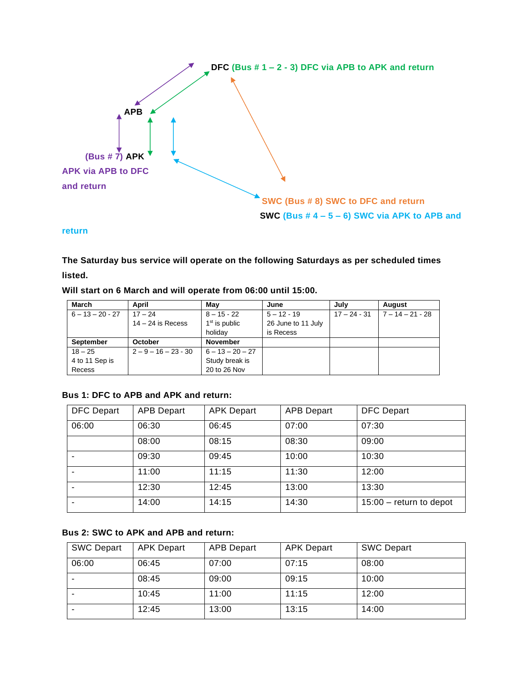

#### **return**

**The Saturday bus service will operate on the following Saturdays as per scheduled times listed.**

#### **Will start on 6 March and will operate from 06:00 until 15:00.**

| March              | April                  | Mav                | June               | Julv           | August             |
|--------------------|------------------------|--------------------|--------------------|----------------|--------------------|
| $6 - 13 - 20 - 27$ | $17 - 24$              | $8 - 15 - 22$      | $5 - 12 - 19$      | $17 - 24 - 31$ | $7 - 14 - 21 - 28$ |
|                    | $14 - 24$ is Recess    | $1st$ is public    | 26 June to 11 July |                |                    |
|                    |                        | holidav            | is Recess          |                |                    |
| <b>September</b>   | October                | <b>November</b>    |                    |                |                    |
| $18 - 25$          | $2 - 9 - 16 - 23 - 30$ | $6 - 13 - 20 - 27$ |                    |                |                    |
| 4 to 11 Sep is     |                        | Study break is     |                    |                |                    |
| Recess             |                        | 20 to 26 Nov       |                    |                |                    |

## **Bus 1: DFC to APB and APK and return:**

| <b>DFC Depart</b> | <b>APB Depart</b> | <b>APK Depart</b> | <b>APB Depart</b> | <b>DFC Depart</b>       |
|-------------------|-------------------|-------------------|-------------------|-------------------------|
| 06:00             | 06:30             | 06:45             | 07:00             | 07:30                   |
|                   | 08:00             | 08:15             | 08:30             | 09:00                   |
|                   | 09:30             | 09:45             | 10:00             | 10:30                   |
|                   | 11:00             | 11:15             | 11:30             | 12:00                   |
|                   | 12:30             | 12:45             | 13:00             | 13:30                   |
|                   | 14:00             | 14:15             | 14:30             | 15:00 - return to depot |

## **Bus 2: SWC to APK and APB and return:**

| <b>SWC Depart</b> | <b>APK Depart</b> | <b>APB Depart</b> | <b>APK Depart</b> | <b>SWC Depart</b> |
|-------------------|-------------------|-------------------|-------------------|-------------------|
| 06:00             | 06:45             | 07:00             | 07:15             | 08:00             |
|                   | 08:45             | 09:00             | 09:15             | 10:00             |
|                   | 10:45             | 11:00             | 11:15             | 12:00             |
|                   | 12:45             | 13:00             | 13:15             | 14:00             |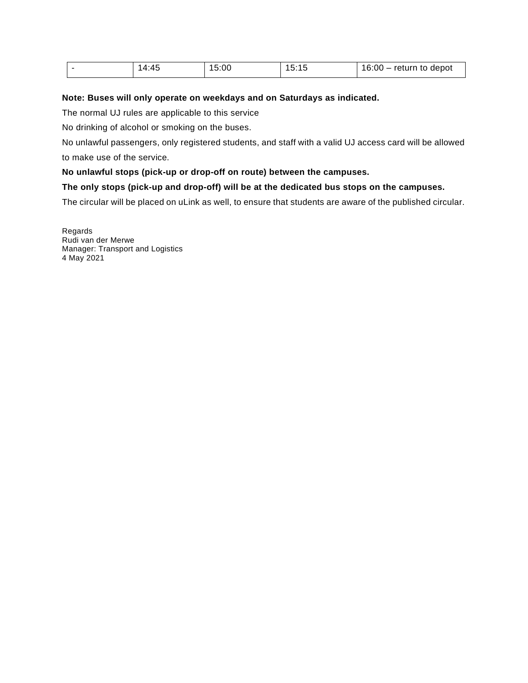| - | 4:45 | 15:00 | 15:15<br>.1 <sub>k</sub> | 16:00<br>return to depot<br>__ |
|---|------|-------|--------------------------|--------------------------------|
|---|------|-------|--------------------------|--------------------------------|

#### **Note: Buses will only operate on weekdays and on Saturdays as indicated.**

The normal UJ rules are applicable to this service

No drinking of alcohol or smoking on the buses.

No unlawful passengers, only registered students, and staff with a valid UJ access card will be allowed to make use of the service.

#### **No unlawful stops (pick-up or drop-off on route) between the campuses.**

#### **The only stops (pick-up and drop-off) will be at the dedicated bus stops on the campuses.**

The circular will be placed on uLink as well, to ensure that students are aware of the published circular.

Regards Rudi van der Merwe Manager: Transport and Logistics 4 May 2021